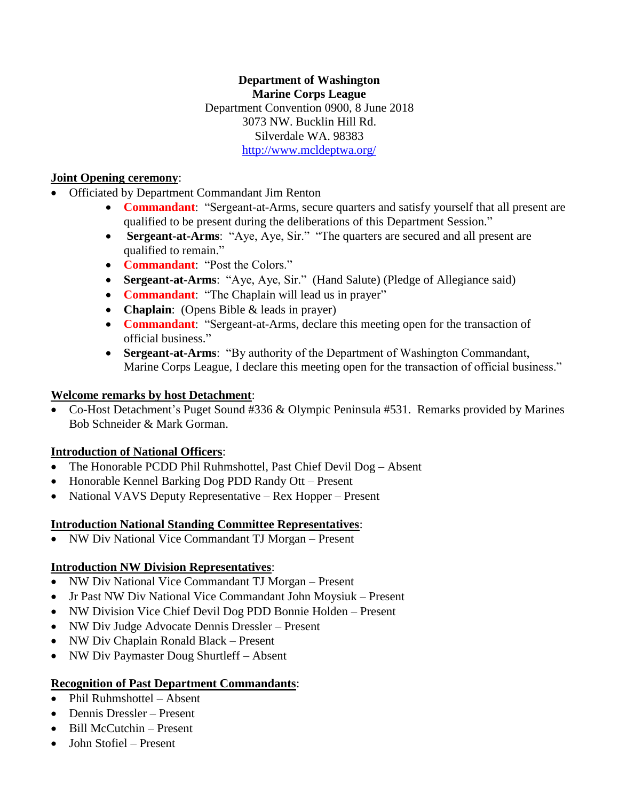**Department of Washington Marine Corps League** Department Convention 0900, 8 June 2018 3073 NW. Bucklin Hill Rd. Silverdale WA. 98383 <http://www.mcldeptwa.org/>

#### **Joint Opening ceremony**:

• Officiated by Department Commandant Jim Renton

- **Commandant**: "Sergeant-at-Arms, secure quarters and satisfy yourself that all present are qualified to be present during the deliberations of this Department Session."
- **Sergeant-at-Arms**: "Aye, Aye, Sir." "The quarters are secured and all present are qualified to remain."
- **Commandant**: "Post the Colors."
- **Sergeant-at-Arms**: "Aye, Aye, Sir." (Hand Salute) (Pledge of Allegiance said)
- **Commandant**: "The Chaplain will lead us in prayer"
- **Chaplain**: (Opens Bible & leads in prayer)
- **Commandant**: "Sergeant-at-Arms, declare this meeting open for the transaction of official business."
- **Sergeant-at-Arms**: "By authority of the Department of Washington Commandant, Marine Corps League, I declare this meeting open for the transaction of official business."

### **Welcome remarks by host Detachment**:

• Co-Host Detachment's Puget Sound #336 & Olympic Peninsula #531. Remarks provided by Marines Bob Schneider & Mark Gorman.

### **Introduction of National Officers**:

- The Honorable PCDD Phil Ruhmshottel, Past Chief Devil Dog Absent
- Honorable Kennel Barking Dog PDD Randy Ott Present
- National VAVS Deputy Representative Rex Hopper Present

### **Introduction National Standing Committee Representatives**:

• NW Div National Vice Commandant TJ Morgan – Present

### **Introduction NW Division Representatives**:

- NW Div National Vice Commandant TJ Morgan Present
- Jr Past NW Div National Vice Commandant John Moysiuk Present
- NW Division Vice Chief Devil Dog PDD Bonnie Holden Present
- NW Div Judge Advocate Dennis Dressler Present
- NW Div Chaplain Ronald Black Present
- NW Div Paymaster Doug Shurtleff Absent

### **Recognition of Past Department Commandants**:

- Phil Ruhmshottel Absent
- Dennis Dressler Present
- Bill McCutchin Present
- John Stofiel Present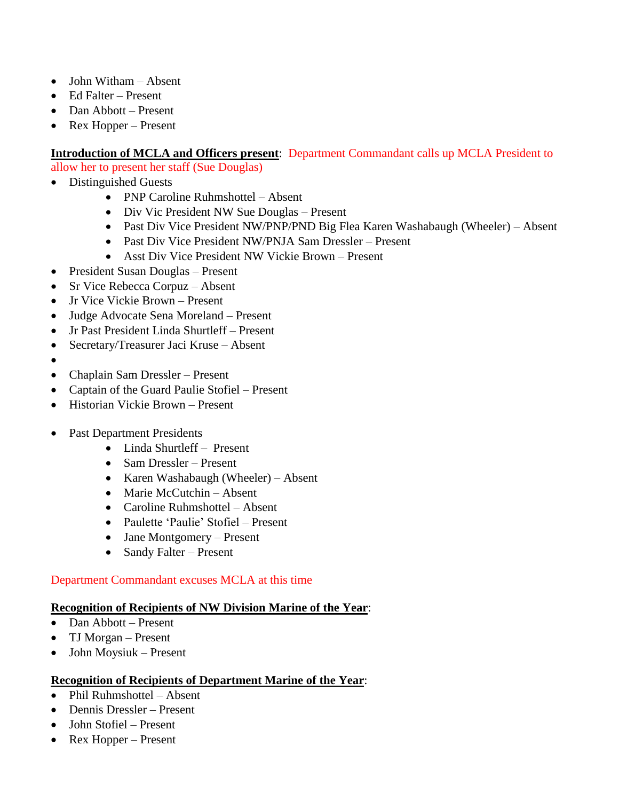- John Witham Absent
- Ed Falter Present
- Dan Abbott Present
- Rex Hopper Present

#### **Introduction of MCLA and Officers present**: Department Commandant calls up MCLA President to

allow her to present her staff (Sue Douglas)

- Distinguished Guests
	- PNP Caroline Ruhmshottel Absent
	- Div Vic President NW Sue Douglas Present
	- Past Div Vice President NW/PNP/PND Big Flea Karen Washabaugh (Wheeler) Absent
	- Past Div Vice President NW/PNJA Sam Dressler Present
	- Asst Div Vice President NW Vickie Brown Present
- President Susan Douglas Present
- Sr Vice Rebecca Corpuz Absent
- Jr Vice Vickie Brown Present
- Judge Advocate Sena Moreland Present
- Jr Past President Linda Shurtleff Present
- Secretary/Treasurer Jaci Kruse Absent
- •
- Chaplain Sam Dressler Present
- Captain of the Guard Paulie Stofiel Present
- Historian Vickie Brown Present
- Past Department Presidents
	- Linda Shurtleff Present
	- Sam Dressler Present
	- Karen Washabaugh (Wheeler) Absent
	- Marie McCutchin Absent
	- Caroline Ruhmshottel Absent
	- Paulette 'Paulie' Stofiel Present
	- Jane Montgomery Present
	- Sandy Falter Present

#### Department Commandant excuses MCLA at this time

#### **Recognition of Recipients of NW Division Marine of the Year**:

- Dan Abbott Present
- TJ Morgan Present
- John Moysiuk Present

#### **Recognition of Recipients of Department Marine of the Year**:

- Phil Ruhmshottel Absent
- Dennis Dressler Present
- John Stofiel Present
- Rex Hopper Present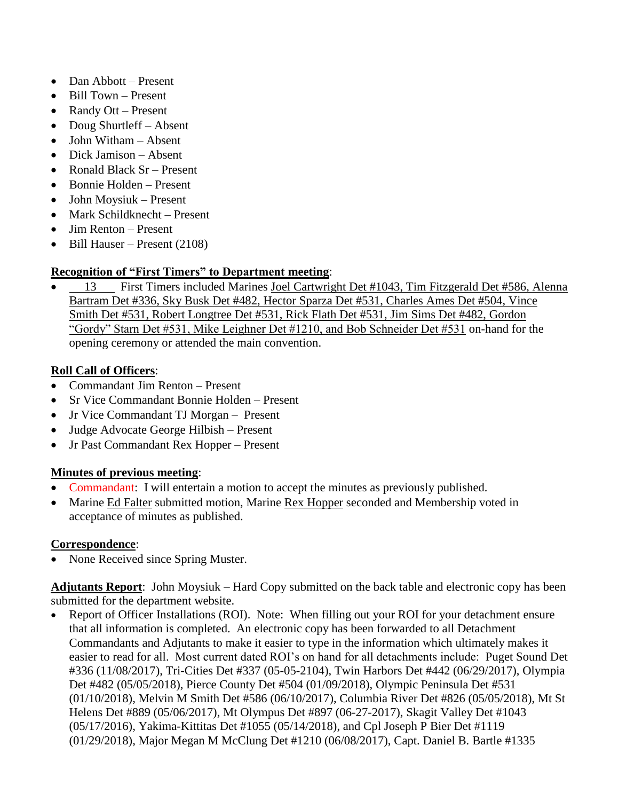- Dan Abbott Present
- Bill Town Present
- Randy Ott Present
- Doug Shurtleff Absent
- John Witham Absent
- Dick Jamison Absent
- Ronald Black Sr Present
- Bonnie Holden Present
- John Moysiuk Present
- Mark Schildknecht Present
- Jim Renton Present
- Bill Hauser Present (2108)

# **Recognition of "First Timers" to Department meeting**:

13 First Timers included Marines Joel Cartwright Det #1043, Tim Fitzgerald Det #586, Alenna Bartram Det #336, Sky Busk Det #482, Hector Sparza Det #531, Charles Ames Det #504, Vince Smith Det #531, Robert Longtree Det #531, Rick Flath Det #531, Jim Sims Det #482, Gordon "Gordy" Starn Det #531, Mike Leighner Det #1210, and Bob Schneider Det #531 on-hand for the opening ceremony or attended the main convention.

### **Roll Call of Officers**:

- Commandant Jim Renton Present
- Sr Vice Commandant Bonnie Holden Present
- Jr Vice Commandant TJ Morgan Present
- Judge Advocate George Hilbish Present
- Jr Past Commandant Rex Hopper Present

### **Minutes of previous meeting**:

- Commandant: I will entertain a motion to accept the minutes as previously published.
- Marine Ed Falter submitted motion, Marine Rex Hopper seconded and Membership voted in acceptance of minutes as published.

### **Correspondence**:

• None Received since Spring Muster.

**Adjutants Report**: John Moysiuk – Hard Copy submitted on the back table and electronic copy has been submitted for the department website.

• Report of Officer Installations (ROI). Note: When filling out your ROI for your detachment ensure that all information is completed. An electronic copy has been forwarded to all Detachment Commandants and Adjutants to make it easier to type in the information which ultimately makes it easier to read for all. Most current dated ROI's on hand for all detachments include: Puget Sound Det #336 (11/08/2017), Tri-Cities Det #337 (05-05-2104), Twin Harbors Det #442 (06/29/2017), Olympia Det #482 (05/05/2018), Pierce County Det #504 (01/09/2018), Olympic Peninsula Det #531 (01/10/2018), Melvin M Smith Det #586 (06/10/2017), Columbia River Det #826 (05/05/2018), Mt St Helens Det #889 (05/06/2017), Mt Olympus Det #897 (06-27-2017), Skagit Valley Det #1043 (05/17/2016), Yakima-Kittitas Det #1055 (05/14/2018), and Cpl Joseph P Bier Det #1119 (01/29/2018), Major Megan M McClung Det #1210 (06/08/2017), Capt. Daniel B. Bartle #1335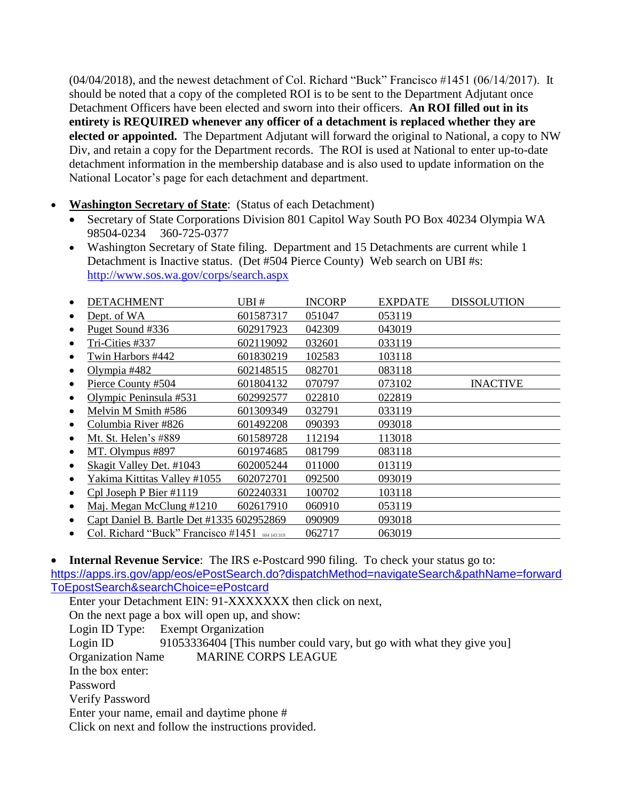(04/04/2018), and the newest detachment of Col. Richard "Buck" Francisco #1451 (06/14/2017). It should be noted that a copy of the completed ROI is to be sent to the Department Adjutant once Detachment Officers have been elected and sworn into their officers. **An ROI filled out in its entirety is REQUIRED whenever any officer of a detachment is replaced whether they are elected or appointed.** The Department Adjutant will forward the original to National, a copy to NW Div, and retain a copy for the Department records. The ROI is used at National to enter up-to-date detachment information in the membership database and is also used to update information on the National Locator's page for each detachment and department.

- **Washington Secretary of State:** (Status of each Detachment)
	- Secretary of State Corporations Division 801 Capitol Way South PO Box 40234 Olympia WA 98504-0234 360-725-0377
	- Washington Secretary of State filing. Department and 15 Detachments are current while 1 Detachment is Inactive status. (Det #504 Pierce County) Web search on UBI #s: <http://www.sos.wa.gov/corps/search.aspx>

| DETACHMENT                                | UBI #       | <b>INCORP</b> | <b>EXPDATE</b> | <b>DISSOLUTION</b> |
|-------------------------------------------|-------------|---------------|----------------|--------------------|
| Dept. of WA                               | 601587317   | 051047        | 053119         |                    |
| Puget Sound #336                          | 602917923   | 042309        | 043019         |                    |
| Tri-Cities #337                           | 602119092   | 032601        | 033119         |                    |
| Twin Harbors #442                         | 601830219   | 102583        | 103118         |                    |
| Olympia #482                              | 602148515   | 082701        | 083118         |                    |
| Pierce County #504                        | 601804132   | 070797        | 073102         | <b>INACTIVE</b>    |
| Olympic Peninsula #531                    | 602992577   | 022810        | 022819         |                    |
| Melvin M Smith #586                       | 601309349   | 032791        | 033119         |                    |
| Columbia River #826                       | 601492208   | 090393        | 093018         |                    |
| Mt. St. Helen's #889                      | 601589728   | 112194        | 113018         |                    |
| MT. Olympus #897                          | 601974685   | 081799        | 083118         |                    |
| Skagit Valley Det. #1043                  | 602005244   | 011000        | 013119         |                    |
| Yakima Kittitas Valley #1055              | 602072701   | 092500        | 093019         |                    |
| Cpl Joseph P Bier #1119                   | 602240331   | 100702        | 103118         |                    |
| Maj. Megan McClung #1210                  | 602617910   | 060910        | 053119         |                    |
| Capt Daniel B. Bartle Det #1335 602952869 |             | 090909        | 093018         |                    |
| Col. Richard "Buck" Francisco #1451       | 604 143 319 | 062717        | 063019         |                    |

• **Internal Revenue Service**: The IRS e-Postcard 990 filing. To check your status go to: [https://apps.irs.gov/app/eos/ePostSearch.do?dispatchMethod=navigateSearch&pathName=forward](https://apps.irs.gov/app/eos/ePostSearch.do?dispatchMethod=navigateSearch&pathName=forwardToEpostSearch&searchChoice=ePostcard) [ToEpostSearch&searchChoice=ePostcard](https://apps.irs.gov/app/eos/ePostSearch.do?dispatchMethod=navigateSearch&pathName=forwardToEpostSearch&searchChoice=ePostcard)

Enter your Detachment EIN: 91-XXXXXXX then click on next, On the next page a box will open up, and show: Login ID Type: Exempt Organization Login ID 91053336404 [This number could vary, but go with what they give you] Organization Name MARINE CORPS LEAGUE In the box enter: Password Verify Password Enter your name, email and daytime phone # Click on next and follow the instructions provided.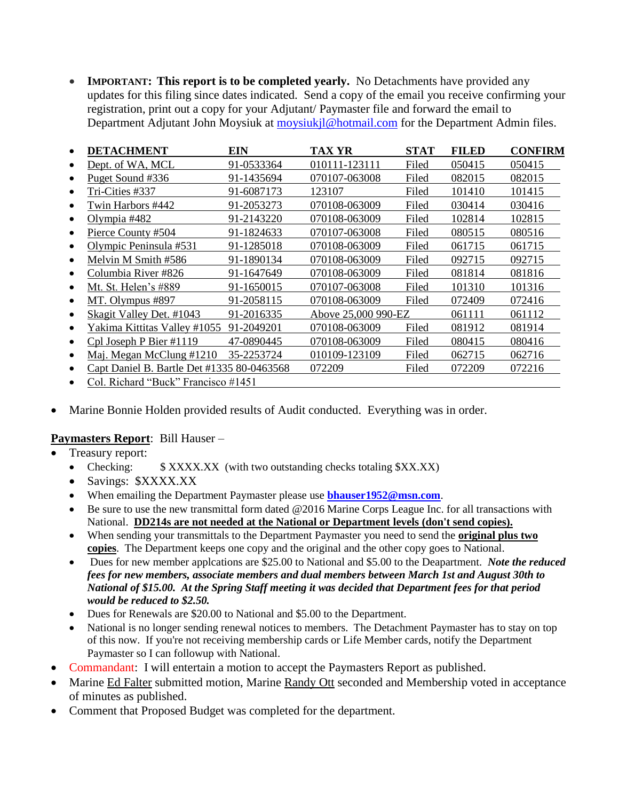• **IMPORTANT:** This report is to be completed yearly. No Detachments have provided any updates for this filing since dates indicated. Send a copy of the email you receive confirming your registration, print out a copy for your Adjutant/ Paymaster file and forward the email to Department Adjutant John Moysiuk at [moysiukjl@hotmail.com](mailto:moysiukjl@hotmail.com) for the Department Admin files.

| <b>DETACHMENT</b>                          | EIN        | TAX YR              | STAT  | <b>FILED</b> | <b>CONFIRM</b> |
|--------------------------------------------|------------|---------------------|-------|--------------|----------------|
| Dept. of WA, MCL                           | 91-0533364 | 010111-123111       | Filed | 050415       | 050415         |
| Puget Sound #336                           | 91-1435694 | 070107-063008       | Filed | 082015       | 082015         |
| Tri-Cities #337                            | 91-6087173 | 123107              | Filed | 101410       | 101415         |
| Twin Harbors #442                          | 91-2053273 | 070108-063009       | Filed | 030414       | 030416         |
| Olympia #482                               | 91-2143220 | 070108-063009       | Filed | 102814       | 102815         |
| Pierce County #504                         | 91-1824633 | 070107-063008       | Filed | 080515       | 080516         |
| Olympic Peninsula #531                     | 91-1285018 | 070108-063009       | Filed | 061715       | 061715         |
| Melvin M Smith #586                        | 91-1890134 | 070108-063009       | Filed | 092715       | 092715         |
| Columbia River #826                        | 91-1647649 | 070108-063009       | Filed | 081814       | 081816         |
| Mt. St. Helen's #889                       | 91-1650015 | 070107-063008       | Filed | 101310       | 101316         |
| MT. Olympus #897                           | 91-2058115 | 070108-063009       | Filed | 072409       | 072416         |
| Skagit Valley Det. #1043                   | 91-2016335 | Above 25,000 990-EZ |       | 061111       | 061112         |
| Yakima Kittitas Valley #1055               | 91-2049201 | 070108-063009       | Filed | 081912       | 081914         |
| Cpl Joseph P Bier $\#1119$                 | 47-0890445 | 070108-063009       | Filed | 080415       | 080416         |
| Maj. Megan McClung #1210                   | 35-2253724 | 010109-123109       | Filed | 062715       | 062716         |
| Capt Daniel B. Bartle Det #1335 80-0463568 |            | 072209              | Filed | 072209       | 072216         |
| $C_1$ 1 $D$ 1 $1$ $(CD_1$ 1 $D$ $D$        |            |                     |       |              |                |

- Col. Richard "Buck" Francisco #1451
- Marine Bonnie Holden provided results of Audit conducted. Everything was in order.

#### **Paymasters Report**: Bill Hauser –

- Treasury report:
	- Checking:  $$ XXXX$  (with two outstanding checks totaling \$XX.XX)
	- Savings: \$XXXX.XX
	- When emailing the Department Paymaster please use **[bhauser1952@msn.com](file:///C:/Users/Bill/Desktop/bhauser1952@msn.com)**.
	- Be sure to use the new transmittal form dated @2016 Marine Corps League Inc. for all transactions with National. **DD214s are not needed at the National or Department levels (don't send copies).**
	- When sending your transmittals to the Department Paymaster you need to send the **original plus two copies**. The Department keeps one copy and the original and the other copy goes to National.
	- Dues for new member applcations are \$25.00 to National and \$5.00 to the Deapartment. *Note the reduced fees for new members, associate members and dual members between March 1st and August 30th to National of \$15.00. At the Spring Staff meeting it was decided that Department fees for that period would be reduced to \$2.50.*
	- Dues for Renewals are \$20.00 to National and \$5.00 to the Department.
	- National is no longer sending renewal notices to members. The Detachment Paymaster has to stay on top of this now. If you're not receiving membership cards or Life Member cards, notify the Department Paymaster so I can followup with National.
- Commandant: I will entertain a motion to accept the Paymasters Report as published.
- Marine Ed Falter submitted motion, Marine Randy Ott seconded and Membership voted in acceptance of minutes as published.
- Comment that Proposed Budget was completed for the department.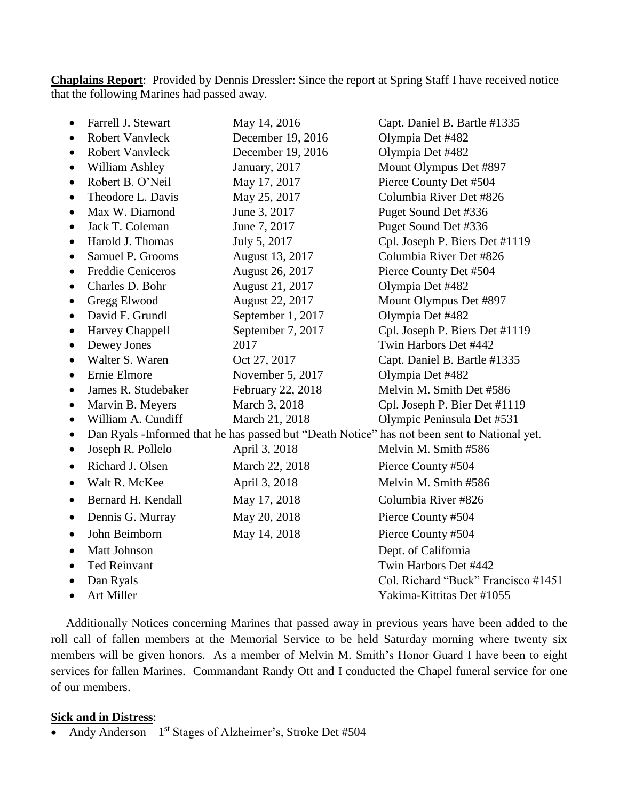**Chaplains Report**: Provided by Dennis Dressler: Since the report at Spring Staff I have received notice that the following Marines had passed away.

| $\bullet$ | Farrell J. Stewart                                                                           | May 14, 2016      | Capt. Daniel B. Bartle #1335        |  |  |  |
|-----------|----------------------------------------------------------------------------------------------|-------------------|-------------------------------------|--|--|--|
| $\bullet$ | <b>Robert Vanvleck</b>                                                                       | December 19, 2016 | Olympia Det #482                    |  |  |  |
| $\bullet$ | <b>Robert Vanvleck</b>                                                                       | December 19, 2016 | Olympia Det #482                    |  |  |  |
| $\bullet$ | William Ashley                                                                               | January, 2017     | Mount Olympus Det #897              |  |  |  |
| $\bullet$ | Robert B. O'Neil                                                                             | May 17, 2017      | Pierce County Det #504              |  |  |  |
| $\bullet$ | Theodore L. Davis                                                                            | May 25, 2017      | Columbia River Det #826             |  |  |  |
| $\bullet$ | Max W. Diamond                                                                               | June 3, 2017      | Puget Sound Det #336                |  |  |  |
| $\bullet$ | Jack T. Coleman                                                                              | June 7, 2017      | Puget Sound Det #336                |  |  |  |
| ٠         | Harold J. Thomas                                                                             | July 5, 2017      | Cpl. Joseph P. Biers Det #1119      |  |  |  |
| ٠         | Samuel P. Grooms                                                                             | August 13, 2017   | Columbia River Det #826             |  |  |  |
| $\bullet$ | <b>Freddie Ceniceros</b>                                                                     | August 26, 2017   | Pierce County Det #504              |  |  |  |
| $\bullet$ | Charles D. Bohr                                                                              | August 21, 2017   | Olympia Det #482                    |  |  |  |
| $\bullet$ | Gregg Elwood                                                                                 | August 22, 2017   | Mount Olympus Det #897              |  |  |  |
| $\bullet$ | David F. Grundl                                                                              | September 1, 2017 | Olympia Det #482                    |  |  |  |
| ٠         | Harvey Chappell                                                                              | September 7, 2017 | Cpl. Joseph P. Biers Det #1119      |  |  |  |
| $\bullet$ | Dewey Jones                                                                                  | 2017              | Twin Harbors Det #442               |  |  |  |
| $\bullet$ | Walter S. Waren                                                                              | Oct 27, 2017      | Capt. Daniel B. Bartle #1335        |  |  |  |
| $\bullet$ | Ernie Elmore                                                                                 | November 5, 2017  | Olympia Det #482                    |  |  |  |
| $\bullet$ | James R. Studebaker                                                                          | February 22, 2018 | Melvin M. Smith Det #586            |  |  |  |
| $\bullet$ | Marvin B. Meyers                                                                             | March 3, 2018     | Cpl. Joseph P. Bier Det #1119       |  |  |  |
| $\bullet$ | William A. Cundiff                                                                           | March 21, 2018    | Olympic Peninsula Det #531          |  |  |  |
| $\bullet$ | Dan Ryals -Informed that he has passed but "Death Notice" has not been sent to National yet. |                   |                                     |  |  |  |
| $\bullet$ | Joseph R. Pollelo                                                                            | April 3, 2018     | Melvin M. Smith #586                |  |  |  |
| $\bullet$ | Richard J. Olsen                                                                             | March 22, 2018    | Pierce County #504                  |  |  |  |
| $\bullet$ | Walt R. McKee                                                                                | April 3, 2018     | Melvin M. Smith #586                |  |  |  |
|           | Bernard H. Kendall                                                                           | May 17, 2018      | Columbia River #826                 |  |  |  |
| ٠         | Dennis G. Murray                                                                             | May 20, 2018      | Pierce County #504                  |  |  |  |
| $\bullet$ | John Beimborn                                                                                | May 14, 2018      | Pierce County #504                  |  |  |  |
| $\bullet$ | <b>Matt Johnson</b>                                                                          |                   | Dept. of California                 |  |  |  |
|           | <b>Ted Reinvant</b>                                                                          |                   | Twin Harbors Det #442               |  |  |  |
| $\bullet$ | Dan Ryals                                                                                    |                   | Col. Richard "Buck" Francisco #1451 |  |  |  |
| $\bullet$ | Art Miller                                                                                   |                   | Yakima-Kittitas Det #1055           |  |  |  |

 Additionally Notices concerning Marines that passed away in previous years have been added to the roll call of fallen members at the Memorial Service to be held Saturday morning where twenty six members will be given honors. As a member of Melvin M. Smith's Honor Guard I have been to eight services for fallen Marines. Commandant Randy Ott and I conducted the Chapel funeral service for one of our members.

#### **Sick and in Distress**:

• Andy Anderson  $-1$ <sup>st</sup> Stages of Alzheimer's, Stroke Det #504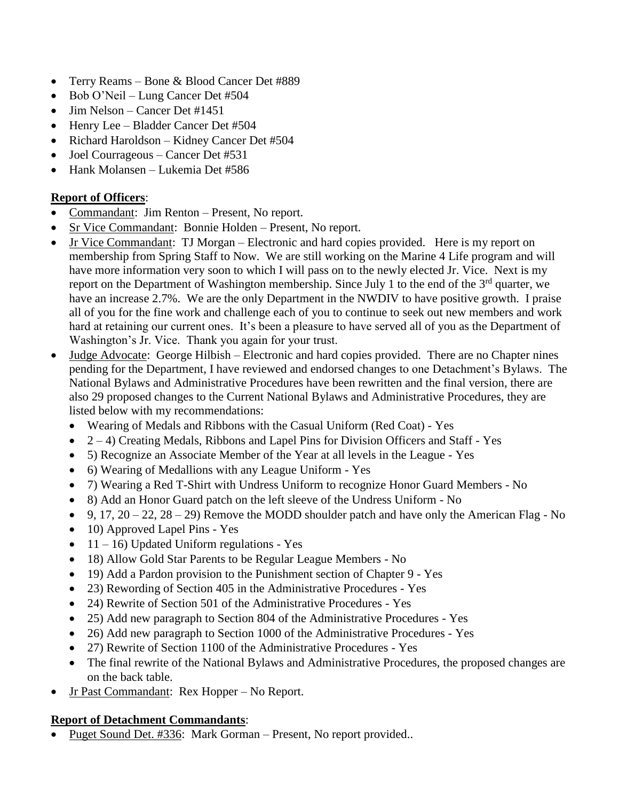- Terry Reams Bone & Blood Cancer Det #889
- Bob O'Neil Lung Cancer Det #504
- Jim Nelson Cancer Det #1451
- Henry Lee Bladder Cancer Det #504
- Richard Haroldson Kidney Cancer Det #504
- Joel Courrageous Cancer Det #531
- Hank Molansen Lukemia Det #586

# **Report of Officers**:

- Commandant: Jim Renton Present, No report.
- Sr Vice Commandant: Bonnie Holden Present, No report.
- Jr Vice Commandant: TJ Morgan Electronic and hard copies provided. Here is my report on membership from Spring Staff to Now. We are still working on the Marine 4 Life program and will have more information very soon to which I will pass on to the newly elected Jr. Vice. Next is my report on the Department of Washington membership. Since July 1 to the end of the 3<sup>rd</sup> quarter, we have an increase 2.7%. We are the only Department in the NWDIV to have positive growth. I praise all of you for the fine work and challenge each of you to continue to seek out new members and work hard at retaining our current ones. It's been a pleasure to have served all of you as the Department of Washington's Jr. Vice. Thank you again for your trust.
- Judge Advocate: George Hilbish Electronic and hard copies provided. There are no Chapter nines pending for the Department, I have reviewed and endorsed changes to one Detachment's Bylaws. The National Bylaws and Administrative Procedures have been rewritten and the final version, there are also 29 proposed changes to the Current National Bylaws and Administrative Procedures, they are listed below with my recommendations:
	- Wearing of Medals and Ribbons with the Casual Uniform (Red Coat) Yes
	- $2-4$ ) Creating Medals, Ribbons and Lapel Pins for Division Officers and Staff Yes
	- 5) Recognize an Associate Member of the Year at all levels in the League Yes
	- 6) Wearing of Medallions with any League Uniform Yes
	- 7) Wearing a Red T-Shirt with Undress Uniform to recognize Honor Guard Members No
	- 8) Add an Honor Guard patch on the left sleeve of the Undress Uniform No
	- 9, 17,  $20 22$ ,  $28 29$ ) Remove the MODD shoulder patch and have only the American Flag No
	- 10) Approved Lapel Pins Yes
	- $11 16$ ) Updated Uniform regulations Yes
	- 18) Allow Gold Star Parents to be Regular League Members No
	- 19) Add a Pardon provision to the Punishment section of Chapter 9 Yes
	- 23) Rewording of Section 405 in the Administrative Procedures Yes
	- 24) Rewrite of Section 501 of the Administrative Procedures Yes
	- 25) Add new paragraph to Section 804 of the Administrative Procedures Yes
	- 26) Add new paragraph to Section 1000 of the Administrative Procedures Yes
	- 27) Rewrite of Section 1100 of the Administrative Procedures Yes
	- The final rewrite of the National Bylaws and Administrative Procedures, the proposed changes are on the back table.
- Jr Past Commandant: Rex Hopper No Report.

# **Report of Detachment Commandants**:

• Puget Sound Det. #336: Mark Gorman – Present, No report provided..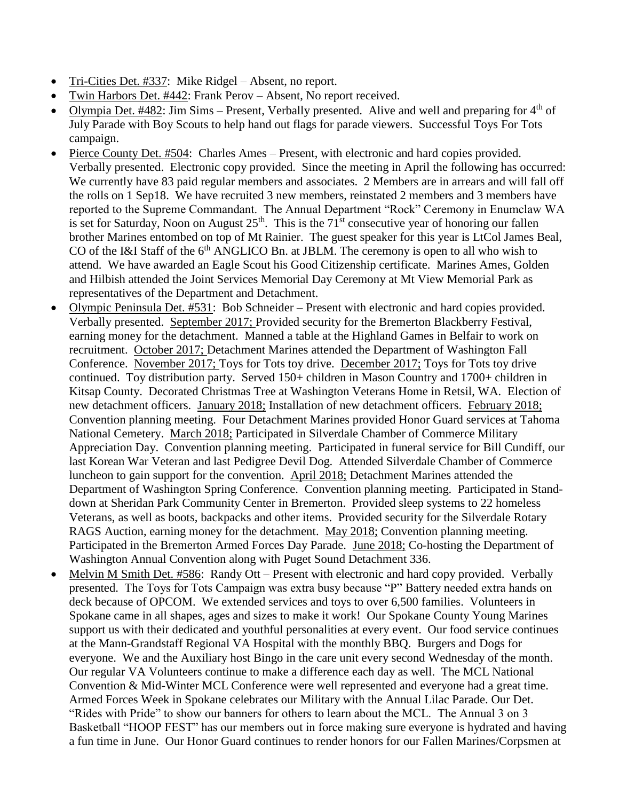- Tri-Cities Det. #337: Mike Ridgel Absent, no report.
- Twin Harbors Det. #442: Frank Perov Absent, No report received.
- Olympia Det.  $\#482$ : Jim Sims Present, Verbally presented. Alive and well and preparing for  $4<sup>th</sup>$  of July Parade with Boy Scouts to help hand out flags for parade viewers. Successful Toys For Tots campaign.
- Pierce County Det. #504: Charles Ames Present, with electronic and hard copies provided. Verbally presented. Electronic copy provided. Since the meeting in April the following has occurred: We currently have 83 paid regular members and associates. 2 Members are in arrears and will fall off the rolls on 1 Sep18. We have recruited 3 new members, reinstated 2 members and 3 members have reported to the Supreme Commandant. The Annual Department "Rock" Ceremony in Enumclaw WA is set for Saturday, Noon on August  $25<sup>th</sup>$ . This is the  $71<sup>st</sup>$  consecutive year of honoring our fallen brother Marines entombed on top of Mt Rainier. The guest speaker for this year is LtCol James Beal, CO of the I&I Staff of the 6<sup>th</sup> ANGLICO Bn. at JBLM. The ceremony is open to all who wish to attend. We have awarded an Eagle Scout his Good Citizenship certificate. Marines Ames, Golden and Hilbish attended the Joint Services Memorial Day Ceremony at Mt View Memorial Park as representatives of the Department and Detachment.
- Olympic Peninsula Det. #531: Bob Schneider Present with electronic and hard copies provided. Verbally presented. September 2017; Provided security for the Bremerton Blackberry Festival, earning money for the detachment. Manned a table at the Highland Games in Belfair to work on recruitment. October 2017; Detachment Marines attended the Department of Washington Fall Conference. November 2017; Toys for Tots toy drive. December 2017; Toys for Tots toy drive continued. Toy distribution party. Served 150+ children in Mason Country and 1700+ children in Kitsap County. Decorated Christmas Tree at Washington Veterans Home in Retsil, WA. Election of new detachment officers. January 2018; Installation of new detachment officers. February 2018; Convention planning meeting. Four Detachment Marines provided Honor Guard services at Tahoma National Cemetery. March 2018; Participated in Silverdale Chamber of Commerce Military Appreciation Day. Convention planning meeting. Participated in funeral service for Bill Cundiff, our last Korean War Veteran and last Pedigree Devil Dog. Attended Silverdale Chamber of Commerce luncheon to gain support for the convention. April 2018; Detachment Marines attended the Department of Washington Spring Conference. Convention planning meeting. Participated in Standdown at Sheridan Park Community Center in Bremerton. Provided sleep systems to 22 homeless Veterans, as well as boots, backpacks and other items. Provided security for the Silverdale Rotary RAGS Auction, earning money for the detachment. May 2018; Convention planning meeting. Participated in the Bremerton Armed Forces Day Parade. June 2018; Co-hosting the Department of Washington Annual Convention along with Puget Sound Detachment 336.
- Melvin M Smith Det. #586: Randy Ott Present with electronic and hard copy provided. Verbally presented. The Toys for Tots Campaign was extra busy because "P" Battery needed extra hands on deck because of OPCOM. We extended services and toys to over 6,500 families. Volunteers in Spokane came in all shapes, ages and sizes to make it work! Our Spokane County Young Marines support us with their dedicated and youthful personalities at every event. Our food service continues at the Mann-Grandstaff Regional VA Hospital with the monthly BBQ. Burgers and Dogs for everyone. We and the Auxiliary host Bingo in the care unit every second Wednesday of the month. Our regular VA Volunteers continue to make a difference each day as well. The MCL National Convention & Mid-Winter MCL Conference were well represented and everyone had a great time. Armed Forces Week in Spokane celebrates our Military with the Annual Lilac Parade. Our Det. "Rides with Pride" to show our banners for others to learn about the MCL. The Annual 3 on 3 Basketball "HOOP FEST" has our members out in force making sure everyone is hydrated and having a fun time in June. Our Honor Guard continues to render honors for our Fallen Marines/Corpsmen at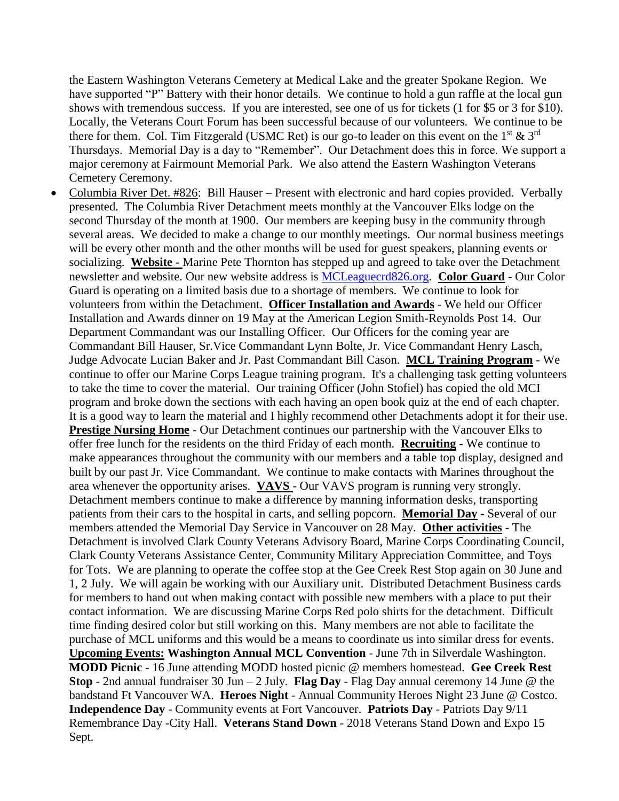the Eastern Washington Veterans Cemetery at Medical Lake and the greater Spokane Region. We have supported "P" Battery with their honor details. We continue to hold a gun raffle at the local gun shows with tremendous success. If you are interested, see one of us for tickets (1 for \$5 or 3 for \$10). Locally, the Veterans Court Forum has been successful because of our volunteers. We continue to be there for them. Col. Tim Fitzgerald (USMC Ret) is our go-to leader on this event on the  $1<sup>st</sup>$  & 3<sup>rd</sup> Thursdays. Memorial Day is a day to "Remember". Our Detachment does this in force. We support a major ceremony at Fairmount Memorial Park. We also attend the Eastern Washington Veterans Cemetery Ceremony.

• Columbia River Det. #826: Bill Hauser – Present with electronic and hard copies provided. Verbally presented. The Columbia River Detachment meets monthly at the Vancouver Elks lodge on the second Thursday of the month at 1900. Our members are keeping busy in the community through several areas. We decided to make a change to our monthly meetings. Our normal business meetings will be every other month and the other months will be used for guest speakers, planning events or socializing. **Website -** Marine Pete Thornton has stepped up and agreed to take over the Detachment newsletter and website. Our new website address is [MCLeaguecrd826.org.](https://eur01.safelinks.protection.outlook.com/?url=http%3A%2F%2Fwww.MCLeaguecrd826.org&data=02%7C01%7C%7C9acee5c28f754d3bdc4b08d5999c3401%7C84df9e7fe9f640afb435aaaaaaaaaaaa%7C1%7C0%7C636583818519814582&sdata=tuot%2F5uP8a5ZC33tBkLbbbhdpPF%2F4uklTCrzgIHY9GI%3D&reserved=0) **Color Guard** - Our Color Guard is operating on a limited basis due to a shortage of members. We continue to look for volunteers from within the Detachment. **Officer Installation and Awards** - We held our Officer Installation and Awards dinner on 19 May at the American Legion Smith-Reynolds Post 14. Our Department Commandant was our Installing Officer. Our Officers for the coming year are Commandant Bill Hauser, Sr.Vice Commandant Lynn Bolte, Jr. Vice Commandant Henry Lasch, Judge Advocate Lucian Baker and Jr. Past Commandant Bill Cason. **MCL Training Program** - We continue to offer our Marine Corps League training program. It's a challenging task getting volunteers to take the time to cover the material. Our training Officer (John Stofiel) has copied the old MCI program and broke down the sections with each having an open book quiz at the end of each chapter. It is a good way to learn the material and I highly recommend other Detachments adopt it for their use. **Prestige Nursing Home** - Our Detachment continues our partnership with the Vancouver Elks to offer free lunch for the residents on the third Friday of each month. **Recruiting** - We continue to make appearances throughout the community with our members and a table top display, designed and built by our past Jr. Vice Commandant. We continue to make contacts with Marines throughout the area whenever the opportunity arises. **VAVS** - Our VAVS program is running very strongly. Detachment members continue to make a difference by manning information desks, transporting patients from their cars to the hospital in carts, and selling popcorn. **Memorial Day** - Several of our members attended the Memorial Day Service in Vancouver on 28 May. **Other activities** - The Detachment is involved Clark County Veterans Advisory Board, Marine Corps Coordinating Council, Clark County Veterans Assistance Center, Community Military Appreciation Committee, and Toys for Tots. We are planning to operate the coffee stop at the Gee Creek Rest Stop again on 30 June and 1, 2 July. We will again be working with our Auxiliary unit. Distributed Detachment Business cards for members to hand out when making contact with possible new members with a place to put their contact information. We are discussing Marine Corps Red polo shirts for the detachment. Difficult time finding desired color but still working on this. Many members are not able to facilitate the purchase of MCL uniforms and this would be a means to coordinate us into similar dress for events. **Upcoming Events: Washington Annual MCL Convention** - June 7th in Silverdale Washington. **MODD Picnic** - 16 June attending MODD hosted picnic @ members homestead. **Gee Creek Rest Stop** - 2nd annual fundraiser 30 Jun – 2 July. **Flag Day** - Flag Day annual ceremony 14 June @ the bandstand Ft Vancouver WA. **Heroes Night** - Annual Community Heroes Night 23 June @ Costco. **Independence Day** - Community events at Fort Vancouver. **Patriots Day** - Patriots Day 9/11 Remembrance Day -City Hall. **Veterans Stand Down** - 2018 Veterans Stand Down and Expo 15 Sept.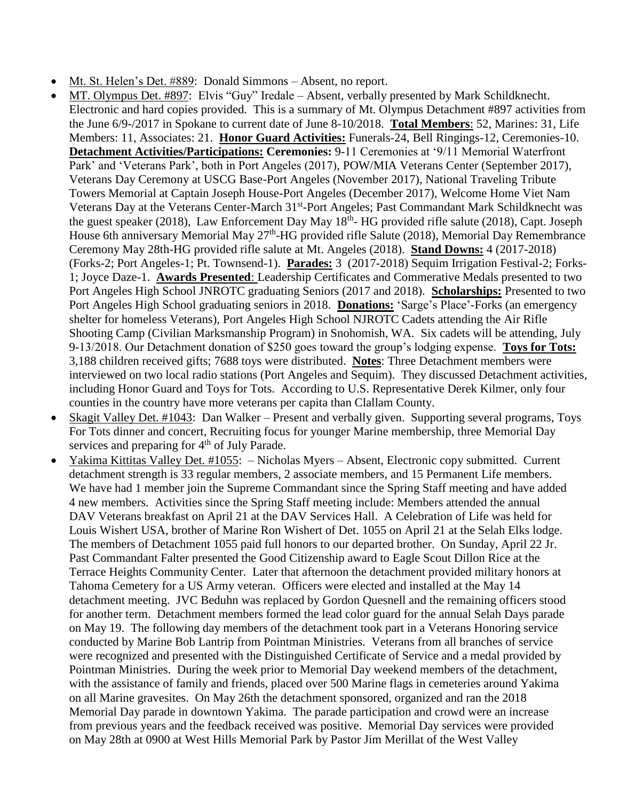- Mt. St. Helen's Det. #889: Donald Simmons Absent, no report.
- MT. Olympus Det. #897: Elvis "Guy" Iredale Absent, verbally presented by Mark Schildknecht. Electronic and hard copies provided. This is a summary of Mt. Olympus Detachment #897 activities from the June 6/9-/2017 in Spokane to current date of June 8-10/2018. **Total Members**: 52, Marines: 31, Life Members: 11, Associates: 21. **Honor Guard Activities:** Funerals-24, Bell Ringings-12, Ceremonies-10. **Detachment Activities/Participations: Ceremonies:** 9-11 Ceremonies at '9/11 Memorial Waterfront Park' and 'Veterans Park', both in Port Angeles (2017), POW/MIA Veterans Center (September 2017), Veterans Day Ceremony at USCG Base-Port Angeles (November 2017), National Traveling Tribute Towers Memorial at Captain Joseph House-Port Angeles (December 2017), Welcome Home Viet Nam Veterans Day at the Veterans Center-March 31<sup>st</sup>-Port Angeles; Past Commandant Mark Schildknecht was the guest speaker (2018), Law Enforcement Day May 18<sup>th</sup>- HG provided rifle salute (2018), Capt. Joseph House 6th anniversary Memorial May 27<sup>th</sup>-HG provided rifle Salute (2018), Memorial Day Remembrance Ceremony May 28th-HG provided rifle salute at Mt. Angeles (2018). **Stand Downs:** 4 (2017-2018) (Forks-2; Port Angeles-1; Pt. Townsend-1). **Parades:** 3 (2017-2018) Sequim Irrigation Festival-2; Forks-1; Joyce Daze-1. **Awards Presented**: Leadership Certificates and Commerative Medals presented to two Port Angeles High School JNROTC graduating Seniors (2017 and 2018). **Scholarships:** Presented to two Port Angeles High School graduating seniors in 2018. **Donations:** 'Sarge's Place'-Forks (an emergency shelter for homeless Veterans), Port Angeles High School NJROTC Cadets attending the Air Rifle Shooting Camp (Civilian Marksmanship Program) in Snohomish, WA. Six cadets will be attending, July 9-13/2018. Our Detachment donation of \$250 goes toward the group's lodging expense. **Toys for Tots:** 3,188 children received gifts; 7688 toys were distributed. **Notes**: Three Detachment members were interviewed on two local radio stations (Port Angeles and Sequim). They discussed Detachment activities, including Honor Guard and Toys for Tots. According to U.S. Representative Derek Kilmer, only four counties in the country have more veterans per capita than Clallam County.
- Skagit Valley Det. #1043: Dan Walker Present and verbally given. Supporting several programs, Toys For Tots dinner and concert, Recruiting focus for younger Marine membership, three Memorial Day services and preparing for 4<sup>th</sup> of July Parade.
- Yakima Kittitas Valley Det. #1055: Nicholas Myers Absent, Electronic copy submitted. Current detachment strength is 33 regular members, 2 associate members, and 15 Permanent Life members. We have had 1 member join the Supreme Commandant since the Spring Staff meeting and have added 4 new members. Activities since the Spring Staff meeting include: Members attended the annual DAV Veterans breakfast on April 21 at the DAV Services Hall. A Celebration of Life was held for Louis Wishert USA, brother of Marine Ron Wishert of Det. 1055 on April 21 at the Selah Elks lodge. The members of Detachment 1055 paid full honors to our departed brother. On Sunday, April 22 Jr. Past Commandant Falter presented the Good Citizenship award to Eagle Scout Dillon Rice at the Terrace Heights Community Center. Later that afternoon the detachment provided military honors at Tahoma Cemetery for a US Army veteran. Officers were elected and installed at the May 14 detachment meeting. JVC Beduhn was replaced by Gordon Quesnell and the remaining officers stood for another term. Detachment members formed the lead color guard for the annual Selah Days parade on May 19. The following day members of the detachment took part in a Veterans Honoring service conducted by Marine Bob Lantrip from Pointman Ministries. Veterans from all branches of service were recognized and presented with the Distinguished Certificate of Service and a medal provided by Pointman Ministries. During the week prior to Memorial Day weekend members of the detachment, with the assistance of family and friends, placed over 500 Marine flags in cemeteries around Yakima on all Marine gravesites. On May 26th the detachment sponsored, organized and ran the 2018 Memorial Day parade in downtown Yakima. The parade participation and crowd were an increase from previous years and the feedback received was positive. Memorial Day services were provided on May 28th at 0900 at West Hills Memorial Park by Pastor Jim Merillat of the West Valley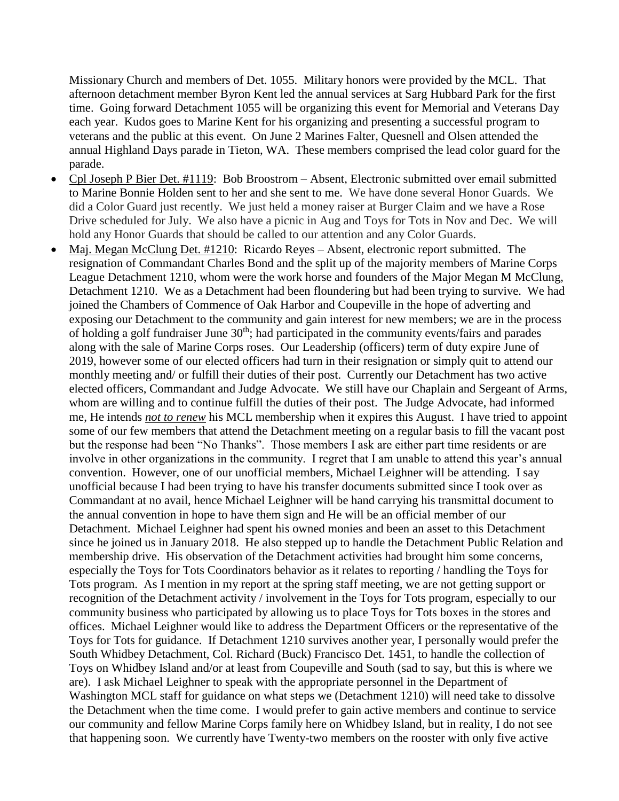Missionary Church and members of Det. 1055. Military honors were provided by the MCL. That afternoon detachment member Byron Kent led the annual services at Sarg Hubbard Park for the first time. Going forward Detachment 1055 will be organizing this event for Memorial and Veterans Day each year. Kudos goes to Marine Kent for his organizing and presenting a successful program to veterans and the public at this event. On June 2 Marines Falter, Quesnell and Olsen attended the annual Highland Days parade in Tieton, WA. These members comprised the lead color guard for the parade.

- Cpl Joseph P Bier Det. #1119: Bob Broostrom Absent, Electronic submitted over email submitted to Marine Bonnie Holden sent to her and she sent to me. We have done several Honor Guards. We did a Color Guard just recently. We just held a money raiser at Burger Claim and we have a Rose Drive scheduled for July. We also have a picnic in Aug and Toys for Tots in Nov and Dec. We will hold any Honor Guards that should be called to our attention and any Color Guards.
- Maj. Megan McClung Det. #1210: Ricardo Reyes Absent, electronic report submitted. The resignation of Commandant Charles Bond and the split up of the majority members of Marine Corps League Detachment 1210, whom were the work horse and founders of the Major Megan M McClung, Detachment 1210. We as a Detachment had been floundering but had been trying to survive. We had joined the Chambers of Commence of Oak Harbor and Coupeville in the hope of adverting and exposing our Detachment to the community and gain interest for new members; we are in the process of holding a golf fundraiser June 30<sup>th</sup>; had participated in the community events/fairs and parades along with the sale of Marine Corps roses. Our Leadership (officers) term of duty expire June of 2019, however some of our elected officers had turn in their resignation or simply quit to attend our monthly meeting and/ or fulfill their duties of their post. Currently our Detachment has two active elected officers, Commandant and Judge Advocate. We still have our Chaplain and Sergeant of Arms, whom are willing and to continue fulfill the duties of their post. The Judge Advocate, had informed me, He intends *not to renew* his MCL membership when it expires this August. I have tried to appoint some of our few members that attend the Detachment meeting on a regular basis to fill the vacant post but the response had been "No Thanks". Those members I ask are either part time residents or are involve in other organizations in the community. I regret that I am unable to attend this year's annual convention. However, one of our unofficial members, Michael Leighner will be attending. I say unofficial because I had been trying to have his transfer documents submitted since I took over as Commandant at no avail, hence Michael Leighner will be hand carrying his transmittal document to the annual convention in hope to have them sign and He will be an official member of our Detachment. Michael Leighner had spent his owned monies and been an asset to this Detachment since he joined us in January 2018. He also stepped up to handle the Detachment Public Relation and membership drive. His observation of the Detachment activities had brought him some concerns, especially the Toys for Tots Coordinators behavior as it relates to reporting / handling the Toys for Tots program. As I mention in my report at the spring staff meeting, we are not getting support or recognition of the Detachment activity / involvement in the Toys for Tots program, especially to our community business who participated by allowing us to place Toys for Tots boxes in the stores and offices. Michael Leighner would like to address the Department Officers or the representative of the Toys for Tots for guidance. If Detachment 1210 survives another year, I personally would prefer the South Whidbey Detachment, Col. Richard (Buck) Francisco Det. 1451, to handle the collection of Toys on Whidbey Island and/or at least from Coupeville and South (sad to say, but this is where we are). I ask Michael Leighner to speak with the appropriate personnel in the Department of Washington MCL staff for guidance on what steps we (Detachment 1210) will need take to dissolve the Detachment when the time come. I would prefer to gain active members and continue to service our community and fellow Marine Corps family here on Whidbey Island, but in reality, I do not see that happening soon. We currently have Twenty-two members on the rooster with only five active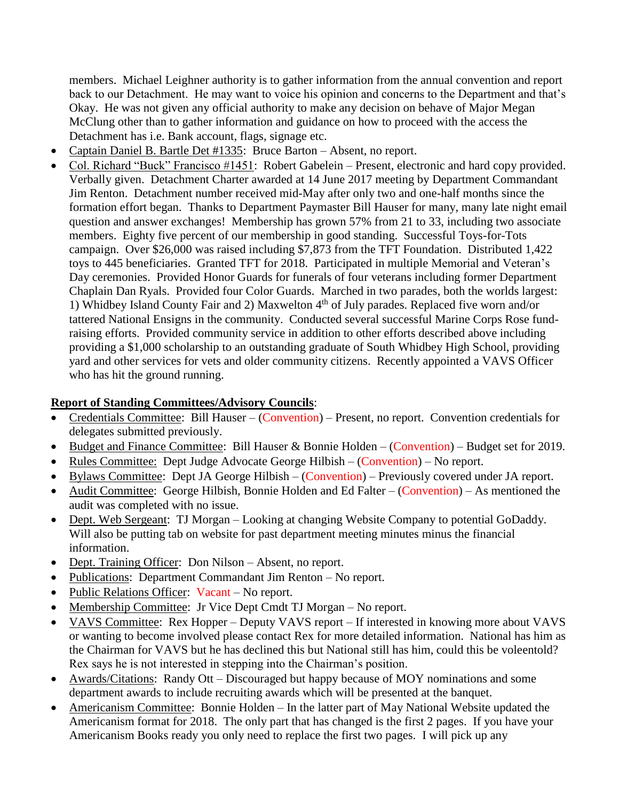members. Michael Leighner authority is to gather information from the annual convention and report back to our Detachment. He may want to voice his opinion and concerns to the Department and that's Okay. He was not given any official authority to make any decision on behave of Major Megan McClung other than to gather information and guidance on how to proceed with the access the Detachment has i.e. Bank account, flags, signage etc.

- Captain Daniel B. Bartle Det #1335: Bruce Barton Absent, no report.
- Col. Richard "Buck" Francisco #1451: Robert Gabelein Present, electronic and hard copy provided. Verbally given. Detachment Charter awarded at 14 June 2017 meeting by Department Commandant Jim Renton. Detachment number received mid-May after only two and one-half months since the formation effort began. Thanks to Department Paymaster Bill Hauser for many, many late night email question and answer exchanges! Membership has grown 57% from 21 to 33, including two associate members. Eighty five percent of our membership in good standing. Successful Toys-for-Tots campaign. Over \$26,000 was raised including \$7,873 from the TFT Foundation. Distributed 1,422 toys to 445 beneficiaries. Granted TFT for 2018. Participated in multiple Memorial and Veteran's Day ceremonies. Provided Honor Guards for funerals of four veterans including former Department Chaplain Dan Ryals. Provided four Color Guards. Marched in two parades, both the worlds largest: 1) Whidbey Island County Fair and 2) Maxwelton 4th of July parades. Replaced five worn and/or tattered National Ensigns in the community. Conducted several successful Marine Corps Rose fundraising efforts. Provided community service in addition to other efforts described above including providing a \$1,000 scholarship to an outstanding graduate of South Whidbey High School, providing yard and other services for vets and older community citizens. Recently appointed a VAVS Officer who has hit the ground running.

# **Report of Standing Committees/Advisory Councils**:

- Credentials Committee: Bill Hauser (Convention) Present, no report. Convention credentials for delegates submitted previously.
- Budget and Finance Committee: Bill Hauser & Bonnie Holden (Convention) Budget set for 2019.
- Rules Committee: Dept Judge Advocate George Hilbish (Convention) No report.
- Bylaws Committee: Dept JA George Hilbish (Convention) Previously covered under JA report.
- Audit Committee: George Hilbish, Bonnie Holden and Ed Falter (Convention) As mentioned the audit was completed with no issue.
- Dept. Web Sergeant: TJ Morgan Looking at changing Website Company to potential GoDaddy. Will also be putting tab on website for past department meeting minutes minus the financial information.
- Dept. Training Officer: Don Nilson Absent, no report.
- Publications: Department Commandant Jim Renton No report.
- Public Relations Officer: Vacant No report.
- Membership Committee: Jr Vice Dept Cmdt TJ Morgan No report.
- VAVS Committee: Rex Hopper Deputy VAVS report If interested in knowing more about VAVS or wanting to become involved please contact Rex for more detailed information. National has him as the Chairman for VAVS but he has declined this but National still has him, could this be voleentold? Rex says he is not interested in stepping into the Chairman's position.
- Awards/Citations: Randy Ott Discouraged but happy because of MOY nominations and some department awards to include recruiting awards which will be presented at the banquet.
- Americanism Committee: Bonnie Holden In the latter part of May National Website updated the Americanism format for 2018. The only part that has changed is the first 2 pages. If you have your Americanism Books ready you only need to replace the first two pages. I will pick up any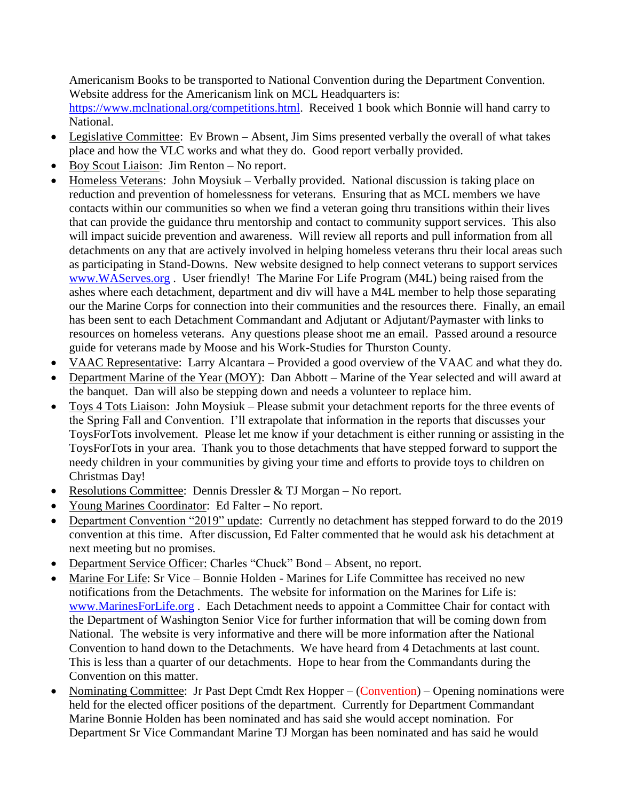Americanism Books to be transported to National Convention during the Department Convention. Website address for the Americanism link on MCL Headquarters is:

[https://www.mclnational.org/competitions.html.](https://www.mclnational.org/competitions.html) Received 1 book which Bonnie will hand carry to National.

- Legislative Committee: Ev Brown Absent, Jim Sims presented verbally the overall of what takes place and how the VLC works and what they do. Good report verbally provided.
- Boy Scout Liaison: Jim Renton No report.
- Homeless Veterans: John Moysiuk Verbally provided. National discussion is taking place on reduction and prevention of homelessness for veterans. Ensuring that as MCL members we have contacts within our communities so when we find a veteran going thru transitions within their lives that can provide the guidance thru mentorship and contact to community support services. This also will impact suicide prevention and awareness. Will review all reports and pull information from all detachments on any that are actively involved in helping homeless veterans thru their local areas such as participating in Stand-Downs. New website designed to help connect veterans to support services [www.WAServes.org](http://www.waserves.org/) . User friendly! The Marine For Life Program (M4L) being raised from the ashes where each detachment, department and div will have a M4L member to help those separating our the Marine Corps for connection into their communities and the resources there. Finally, an email has been sent to each Detachment Commandant and Adjutant or Adjutant/Paymaster with links to resources on homeless veterans. Any questions please shoot me an email. Passed around a resource guide for veterans made by Moose and his Work-Studies for Thurston County.
- VAAC Representative: Larry Alcantara Provided a good overview of the VAAC and what they do.
- Department Marine of the Year (MOY): Dan Abbott Marine of the Year selected and will award at the banquet. Dan will also be stepping down and needs a volunteer to replace him.
- Toys 4 Tots Liaison: John Moysiuk Please submit your detachment reports for the three events of the Spring Fall and Convention. I'll extrapolate that information in the reports that discusses your ToysForTots involvement. Please let me know if your detachment is either running or assisting in the ToysForTots in your area. Thank you to those detachments that have stepped forward to support the needy children in your communities by giving your time and efforts to provide toys to children on Christmas Day!
- Resolutions Committee: Dennis Dressler & TJ Morgan No report.
- Young Marines Coordinator: Ed Falter No report.
- Department Convention "2019" update: Currently no detachment has stepped forward to do the 2019 convention at this time. After discussion, Ed Falter commented that he would ask his detachment at next meeting but no promises.
- Department Service Officer: Charles "Chuck" Bond Absent, no report.
- Marine For Life: Sr Vice Bonnie Holden Marines for Life Committee has received no new notifications from the Detachments. The website for information on the Marines for Life is: [www.MarinesForLife.org](http://www.marinesforlife.org/) . Each Detachment needs to appoint a Committee Chair for contact with the Department of Washington Senior Vice for further information that will be coming down from National. The website is very informative and there will be more information after the National Convention to hand down to the Detachments. We have heard from 4 Detachments at last count. This is less than a quarter of our detachments. Hope to hear from the Commandants during the Convention on this matter.
- Nominating Committee: Jr Past Dept Cmdt Rex Hopper (Convention) Opening nominations were held for the elected officer positions of the department. Currently for Department Commandant Marine Bonnie Holden has been nominated and has said she would accept nomination. For Department Sr Vice Commandant Marine TJ Morgan has been nominated and has said he would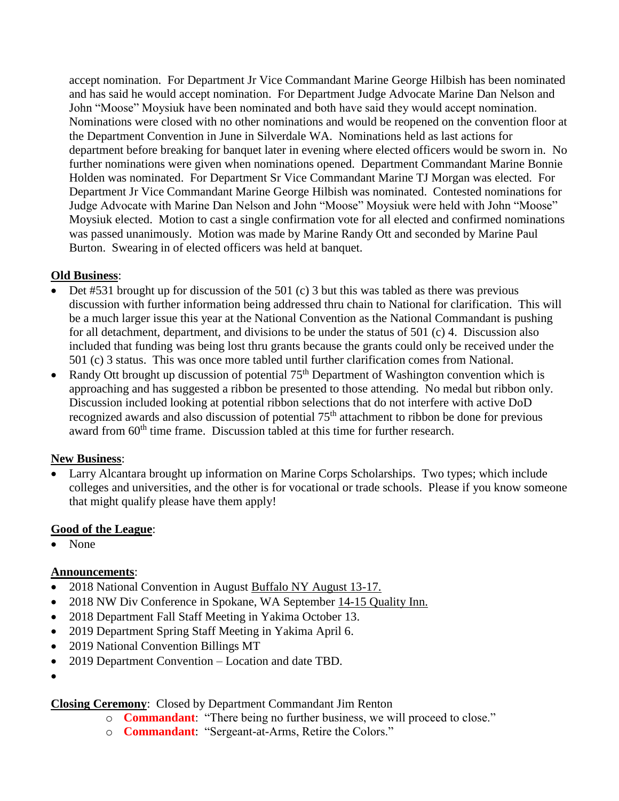accept nomination. For Department Jr Vice Commandant Marine George Hilbish has been nominated and has said he would accept nomination. For Department Judge Advocate Marine Dan Nelson and John "Moose" Moysiuk have been nominated and both have said they would accept nomination. Nominations were closed with no other nominations and would be reopened on the convention floor at the Department Convention in June in Silverdale WA. Nominations held as last actions for department before breaking for banquet later in evening where elected officers would be sworn in. No further nominations were given when nominations opened. Department Commandant Marine Bonnie Holden was nominated. For Department Sr Vice Commandant Marine TJ Morgan was elected. For Department Jr Vice Commandant Marine George Hilbish was nominated. Contested nominations for Judge Advocate with Marine Dan Nelson and John "Moose" Moysiuk were held with John "Moose" Moysiuk elected. Motion to cast a single confirmation vote for all elected and confirmed nominations was passed unanimously. Motion was made by Marine Randy Ott and seconded by Marine Paul Burton. Swearing in of elected officers was held at banquet.

### **Old Business**:

- Det #531 brought up for discussion of the 501 (c) 3 but this was tabled as there was previous discussion with further information being addressed thru chain to National for clarification. This will be a much larger issue this year at the National Convention as the National Commandant is pushing for all detachment, department, and divisions to be under the status of 501 (c) 4. Discussion also included that funding was being lost thru grants because the grants could only be received under the 501 (c) 3 status. This was once more tabled until further clarification comes from National.
- Randy Ott brought up discussion of potential  $75<sup>th</sup>$  Department of Washington convention which is approaching and has suggested a ribbon be presented to those attending. No medal but ribbon only. Discussion included looking at potential ribbon selections that do not interfere with active DoD recognized awards and also discussion of potential 75<sup>th</sup> attachment to ribbon be done for previous award from 60<sup>th</sup> time frame. Discussion tabled at this time for further research.

# **New Business**:

• Larry Alcantara brought up information on Marine Corps Scholarships. Two types; which include colleges and universities, and the other is for vocational or trade schools. Please if you know someone that might qualify please have them apply!

# **Good of the League**:

• None

# **Announcements**:

- 2018 National Convention in August Buffalo NY August 13-17.
- 2018 NW Div Conference in Spokane, WA September 14-15 Quality Inn.
- 2018 Department Fall Staff Meeting in Yakima October 13.
- 2019 Department Spring Staff Meeting in Yakima April 6.
- 2019 National Convention Billings MT
- 2019 Department Convention Location and date TBD.
- •

# **Closing Ceremony**: Closed by Department Commandant Jim Renton

- o **Commandant**: "There being no further business, we will proceed to close."
- o **Commandant**: "Sergeant-at-Arms, Retire the Colors."